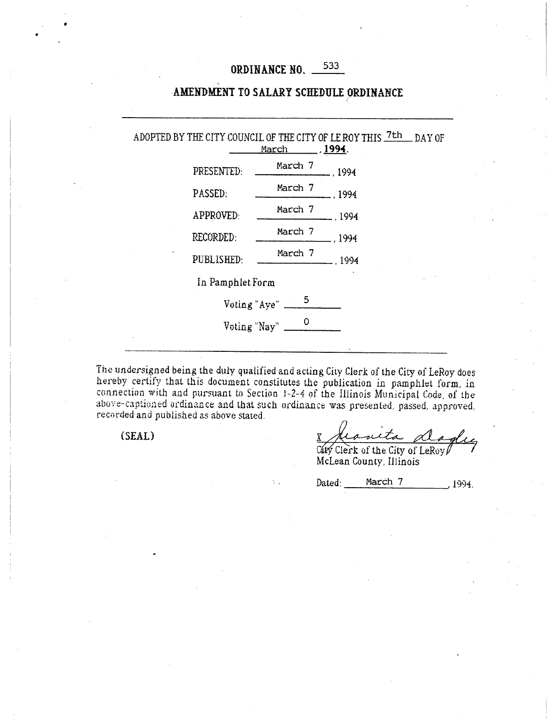# ORDINANCE NO. 533

## AMENDMENT TO SALARY SCHEDULE ORDINANCE

ADOPTED BY THE CITY COUNCIL OF THE CITY OF LE ROY THIS  $\frac{7\text{th}}{\text{par}}$  DAY OF  $1994.$ PRESENTED: March 7 ,1994 PASSED: March 7 ,1994 APPROVED: March 7 ,1994 RECORDED: March 7 11994 PUBLISHED: March 7 ,1994 In Pamphlet Form Voting "Aye"  $\frac{5}{\sqrt{2}}$ Voting "Nay"  $\frac{0}{\sqrt{1-\frac{v^2}{c^2}}}$ 

The undersigned being the duly qualified and acting City Clerk of the City of LeRoy does hereby certify that this document constitutes the publication in pamphlet form, in connection with and pursuant to Section l-2-4 of the Illinois Municipal Code, of the above-captioned ordinance and that such ordinance was presented, passed, approved, recorded and published as above stated.

 $(SEAL)$ 

uta d

Dated: <u>March 7 .1994</u>

City Clerk of the City of LeRoy McLean County, Illinois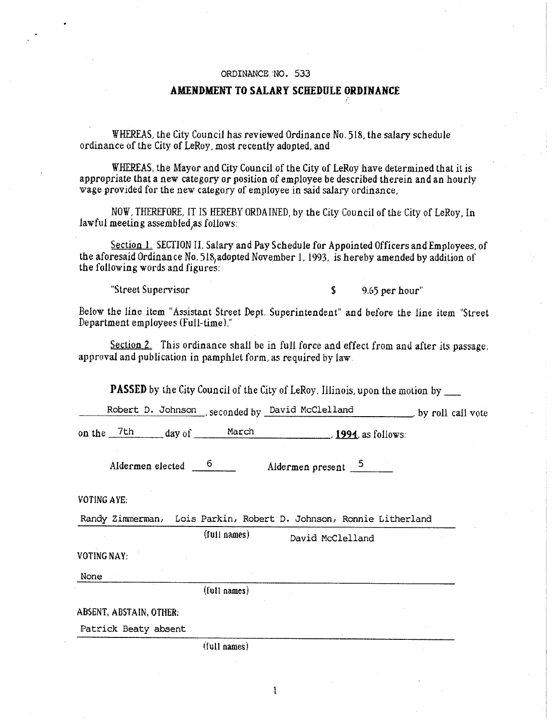#### ORDINANCE.~NO. 533

### AMENDMENT TO SALARY SCHEDULE ORDINANCE

WHEREAS, the City Council has reviewed Ordinance No, 515, the salary schedule ordinance of the City of LeRoy, most recently adopted, and

WHEREAS, the Mayor and City Council of the City of LeRoy have determined that it is appropriate that a new category or position of employee be described therein and an hourly wage provided for the new category of employee in said salary ordinance,

NOW, THEREFORE, IT IS HEREBY ORDAINED, by the City Council of the City of LeRoy, In lawful meeting assembled,as follows:

Section 1, SECTION II, Salary and Pay Schedule for Appointed Officers and Employees, of the aforesaid Ordinance No. 515,adopted November 1, 1993, is hereby amended by addition of the following words and figures:

"Street Supervisor \$ 9.65 per hour"

Below the line item "Assistant Street Dept, Superintendent" and before the line item "Street Department employees (Full-time),"

Section 2. This ordinance shall be in full force and effect from and after its passage. approval and publication in pamphlet form, as required by law.

PASSED by the City Council of the City of LeRoy, Illinois, upon the motion by

Robert D. Johnson , seconded by David McClelland by roll call vote

on the <sup>7th</sup> *day* of <u>March</u> 1994. as follows:

Aldermen elected  $\frac{6}{\sqrt{2}}$  Aldermen present 5

VOTING AYE:

Randy Zimmerman, Lois Parkin, Robert D. Johnson, Ronnie Litherland

 $\mathbf{1}$ 

(full names) David McClelland

VOTING NAY:

None

(full names)

ABSENT, ABSTAIN, OTHER:

Patrick Beaty absent

(full names)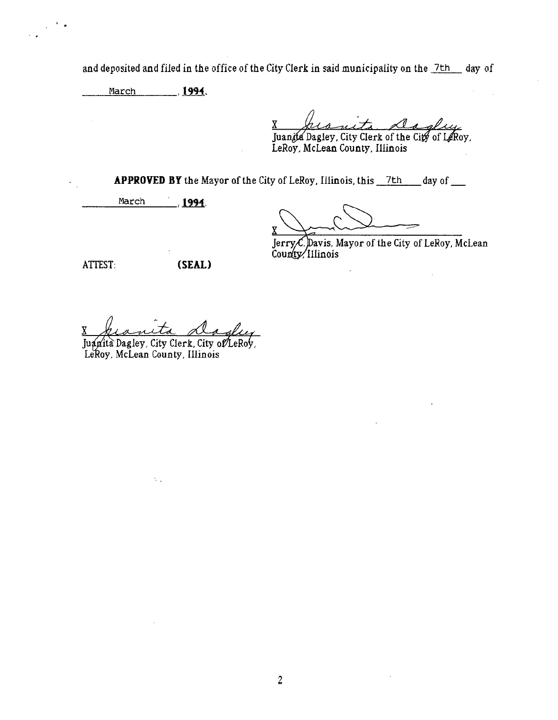and deposited and filed in the office of the City Clerk in said municipality on the 7th day of

March , 1994,

 $\lambda_{\rm{max}}$  $\alpha$ 

x Juanita Dagley, City Clerk of the City of LeRoy,

LeRoy, McLean County, Illinois

APPROVED BY the Mayor of the City of LeRoy, Illinois, this 7th day of

March 1991

ATTEST: (SEAL)

x

 $\ddot{\phantom{a}}$ 

Jerry  ${\cal C}$  Davis, Mayor of the City of LeRoy, McLean County/Illinois

x

Juanità Dagley, City Clerk, City of LeRoy, LeRoy, McLean County, Illinois

 $\mathbb{Q}_\infty$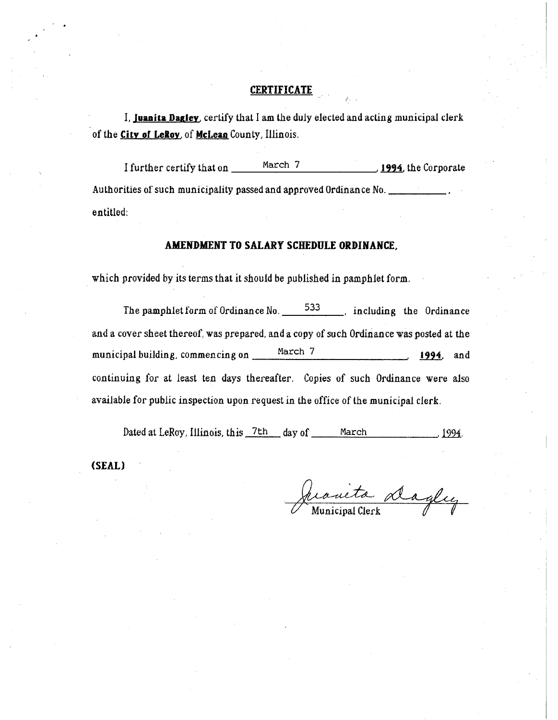## **CERTIFICATE**

I, **Juanita Dazley,** certify that I am the duly elected and acting municipal clerk of the **City of LeRoy,** of **McLean** County, Illinois.

I further certify that on March 7 **1994,** the Corporate Authorities of such municipality passed and approved Ordinance No. entitled;

## **AMENDMENT TO SALARY SCHEDULE ORDINANCE,**

which provided by its terms that it should be published in pamphlet form.

The pamphlet form of Ordinance No. 533 hard including the Ordinance and a cover sheet thereof, was prepared, and a copy of such Ordinance was posted at the municipal building, commencing on March 7 **1994**, and continuing for at least ten days thereafter. Copies of such Ordinance were also available for public inspection upon request in the office of the municipal clerk,

Dated at LeRoy, Illinois, this  $7th$  day of March 1994.

**(SEAL)** 

Juanieta dagley